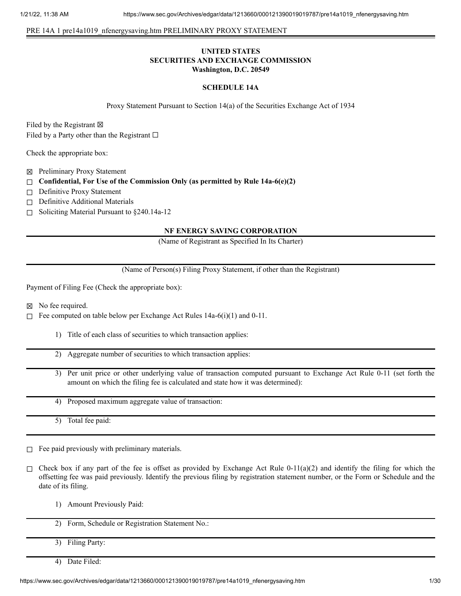# PRE 14A 1 pre14a1019\_nfenergysaving.htm PRELIMINARY PROXY STATEMENT

# **UNITED STATES SECURITIES AND EXCHANGE COMMISSION Washington, D.C. 20549**

# **SCHEDULE 14A**

Proxy Statement Pursuant to Section 14(a) of the Securities Exchange Act of 1934

Filed by the Registrant  $\boxtimes$ Filed by a Party other than the Registrant  $\Box$ 

Check the appropriate box:

- ☒ Preliminary Proxy Statement
- ☐ **Confidential, For Use of the Commission Only (as permitted by Rule 14a-6(e)(2)**
- ☐ Definitive Proxy Statement
- □ Definitive Additional Materials
- ☐ Soliciting Material Pursuant to §240.14a-12

# **NF ENERGY SAVING CORPORATION**

(Name of Registrant as Specified In Its Charter)

(Name of Person(s) Filing Proxy Statement, if other than the Registrant)

Payment of Filing Fee (Check the appropriate box):

- $\boxtimes$  No fee required.
- $\Box$  Fee computed on table below per Exchange Act Rules 14a-6(i)(1) and 0-11.
	- 1) Title of each class of securities to which transaction applies:
	- 2) Aggregate number of securities to which transaction applies:
	- 3) Per unit price or other underlying value of transaction computed pursuant to Exchange Act Rule 0-11 (set forth the amount on which the filing fee is calculated and state how it was determined):
	- 4) Proposed maximum aggregate value of transaction:
	- 5) Total fee paid:
- $\Box$  Fee paid previously with preliminary materials.
- $\Box$  Check box if any part of the fee is offset as provided by Exchange Act Rule 0-11(a)(2) and identify the filing for which the offsetting fee was paid previously. Identify the previous filing by registration statement number, or the Form or Schedule and the date of its filing.
	- 1) Amount Previously Paid:
	- 2) Form, Schedule or Registration Statement No.:
	- 3) Filing Party:
	- 4) Date Filed: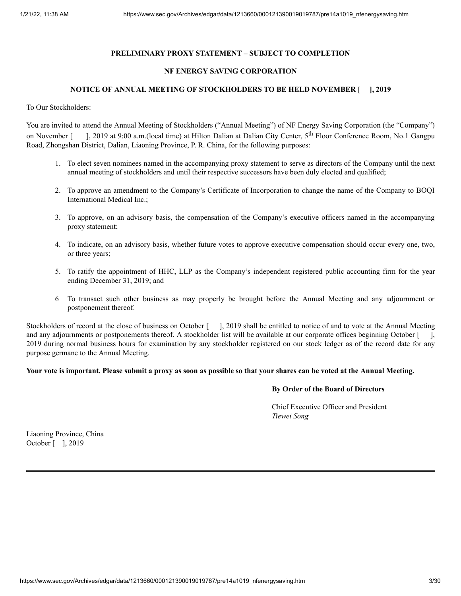# **PRELIMINARY PROXY STATEMENT – SUBJECT TO COMPLETION**

# **NF ENERGY SAVING CORPORATION**

#### **NOTICE OF ANNUAL MEETING OF STOCKHOLDERS TO BE HELD NOVEMBER [ ], 2019**

To Our Stockholders:

You are invited to attend the Annual Meeting of Stockholders ("Annual Meeting") of NF Energy Saving Corporation (the "Company") on November [ ], 2019 at 9:00 a.m.(local time) at Hilton Dalian at Dalian City Center, 5<sup>th</sup> Floor Conference Room, No.1 Gangpu Road, Zhongshan District, Dalian, Liaoning Province, P. R. China, for the following purposes:

- 1. To elect seven nominees named in the accompanying proxy statement to serve as directors of the Company until the next annual meeting of stockholders and until their respective successors have been duly elected and qualified;
- 2. To approve an amendment to the Company's Certificate of Incorporation to change the name of the Company to BOQI International Medical Inc.;
- 3. To approve, on an advisory basis, the compensation of the Company's executive officers named in the accompanying proxy statement;
- 4. To indicate, on an advisory basis, whether future votes to approve executive compensation should occur every one, two, or three years;
- 5. To ratify the appointment of HHC, LLP as the Company's independent registered public accounting firm for the year ending December 31, 2019; and
- 6 To transact such other business as may properly be brought before the Annual Meeting and any adjournment or postponement thereof.

Stockholders of record at the close of business on October [ ], 2019 shall be entitled to notice of and to vote at the Annual Meeting and any adjournments or postponements thereof. A stockholder list will be available at our corporate offices beginning October [ 2019 during normal business hours for examination by any stockholder registered on our stock ledger as of the record date for any purpose germane to the Annual Meeting.

# Your vote is important. Please submit a proxy as soon as possible so that your shares can be voted at the Annual Meeting.

# **By Order of the Board of Directors**

Chief Executive Officer and President *Tiewei Song*

Liaoning Province, China October [ ], 2019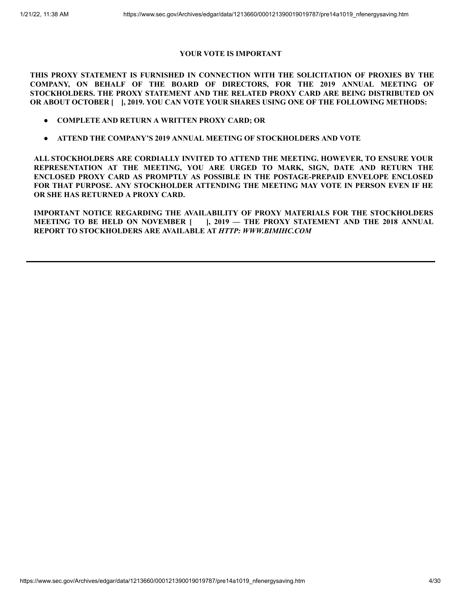# **YOUR VOTE IS IMPORTANT**

**THIS PROXY STATEMENT IS FURNISHED IN CONNECTION WITH THE SOLICITATION OF PROXIES BY THE COMPANY, ON BEHALF OF THE BOARD OF DIRECTORS, FOR THE 2019 ANNUAL MEETING OF STOCKHOLDERS. THE PROXY STATEMENT AND THE RELATED PROXY CARD ARE BEING DISTRIBUTED ON OR ABOUT OCTOBER [ ], 2019. YOU CAN VOTE YOUR SHARES USING ONE OF THE FOLLOWING METHODS:**

- **● COMPLETE AND RETURN A WRITTEN PROXY CARD; OR**
- **ATTEND THE COMPANY'S 2019 ANNUAL MEETING OF STOCKHOLDERS AND VOTE**

**ALL STOCKHOLDERS ARE CORDIALLY INVITED TO ATTEND THE MEETING. HOWEVER, TO ENSURE YOUR REPRESENTATION AT THE MEETING, YOU ARE URGED TO MARK, SIGN, DATE AND RETURN THE ENCLOSED PROXY CARD AS PROMPTLY AS POSSIBLE IN THE POSTAGE-PREPAID ENVELOPE ENCLOSED FOR THAT PURPOSE. ANY STOCKHOLDER ATTENDING THE MEETING MAY VOTE IN PERSON EVEN IF HE OR SHE HAS RETURNED A PROXY CARD.**

**IMPORTANT NOTICE REGARDING THE AVAILABILITY OF PROXY MATERIALS FOR THE STOCKHOLDERS MEETING TO BE HELD ON NOVEMBER [ ], 2019 — THE PROXY STATEMENT AND THE 2018 ANNUAL REPORT TO STOCKHOLDERS ARE AVAILABLE AT** *HTTP: WWW.BIMIHC.COM*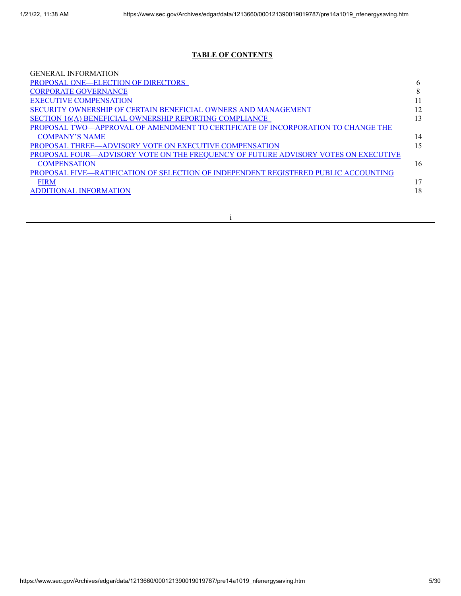# **TABLE OF CONTENTS**

| <b>GENERAL INFORMATION</b>                                                          |    |
|-------------------------------------------------------------------------------------|----|
| PROPOSAL ONE-ELECTION OF DIRECTORS                                                  | h  |
| <b>CORPORATE GOVERNANCE</b>                                                         | 8  |
| <b>EXECUTIVE COMPENSATION</b>                                                       | 11 |
| SECURITY OWNERSHIP OF CERTAIN BENEFICIAL OWNERS AND MANAGEMENT                      | 12 |
| <b>SECTION 16(A) BENEFICIAL OWNERSHIP REPORTING COMPLIANCE</b>                      | 13 |
| PROPOSAL TWO—APPROVAL OF AMENDMENT TO CERTIFICATE OF INCORPORATION TO CHANGE THE    |    |
| <b>COMPANY'S NAME</b>                                                               | 14 |
| <b>PROPOSAL THREE—ADVISORY VOTE ON EXECUTIVE COMPENSATION</b>                       | 15 |
| PROPOSAL FOUR—ADVISORY VOTE ON THE FREQUENCY OF FUTURE ADVISORY VOTES ON EXECUTIVE  |    |
| <b>COMPENSATION</b>                                                                 | 16 |
| PROPOSAL FIVE—RATIFICATION OF SELECTION OF INDEPENDENT REGISTERED PUBLIC ACCOUNTING |    |
| <b>FIRM</b>                                                                         | 17 |
| <b>ADDITIONAL INFORMATION</b>                                                       | 18 |
|                                                                                     |    |
|                                                                                     |    |

i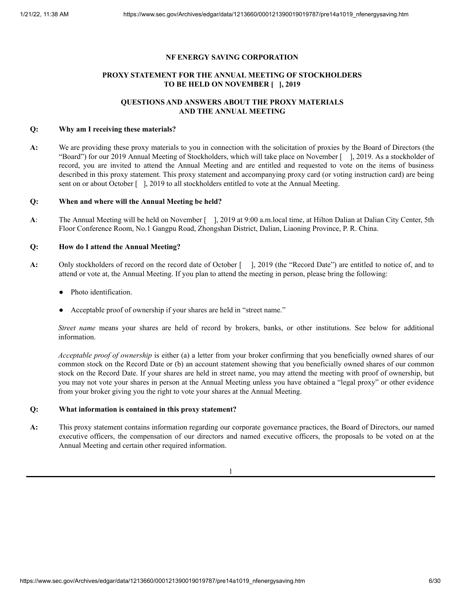# **NF ENERGY SAVING CORPORATION**

# **PROXY STATEMENT FOR THE ANNUAL MEETING OF STOCKHOLDERS TO BE HELD ON NOVEMBER [ ], 2019**

# **QUESTIONS AND ANSWERS ABOUT THE PROXY MATERIALS AND THE ANNUAL MEETING**

# **Q: Why am I receiving these materials?**

**A:** We are providing these proxy materials to you in connection with the solicitation of proxies by the Board of Directors (the "Board") for our 2019 Annual Meeting of Stockholders, which will take place on November [ ], 2019. As a stockholder of record, you are invited to attend the Annual Meeting and are entitled and requested to vote on the items of business described in this proxy statement. This proxy statement and accompanying proxy card (or voting instruction card) are being sent on or about October  $\lceil 1, 2019 \rceil$  to all stockholders entitled to vote at the Annual Meeting.

#### **Q: When and where will the Annual Meeting be held?**

**A**: The Annual Meeting will be held on November [ ], 2019 at 9:00 a.m.local time, at Hilton Dalian at Dalian City Center, 5th Floor Conference Room, No.1 Gangpu Road, Zhongshan District, Dalian, Liaoning Province, P. R. China.

#### **Q: How do I attend the Annual Meeting?**

- **A:** Only stockholders of record on the record date of October [ ], 2019 (the "Record Date") are entitled to notice of, and to attend or vote at, the Annual Meeting. If you plan to attend the meeting in person, please bring the following:
	- Photo identification.
	- Acceptable proof of ownership if your shares are held in "street name."

*Street name* means your shares are held of record by brokers, banks, or other institutions. See below for additional information.

*Acceptable proof of ownership* is either (a) a letter from your broker confirming that you beneficially owned shares of our common stock on the Record Date or (b) an account statement showing that you beneficially owned shares of our common stock on the Record Date. If your shares are held in street name, you may attend the meeting with proof of ownership, but you may not vote your shares in person at the Annual Meeting unless you have obtained a "legal proxy" or other evidence from your broker giving you the right to vote your shares at the Annual Meeting.

# **Q: What information is contained in this proxy statement?**

**A:** This proxy statement contains information regarding our corporate governance practices, the Board of Directors, our named executive officers, the compensation of our directors and named executive officers, the proposals to be voted on at the Annual Meeting and certain other required information.

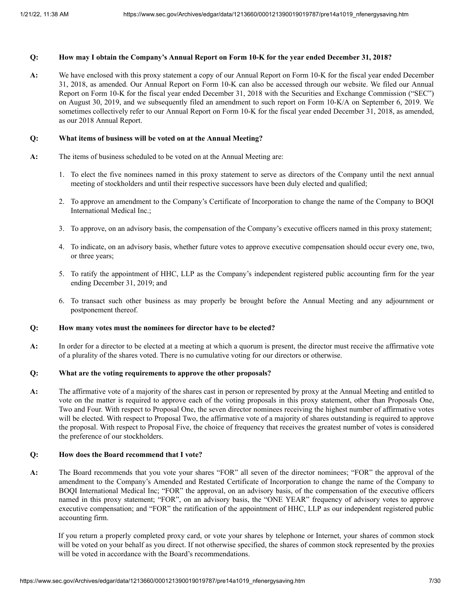# Q: How may I obtain the Company's Annual Report on Form 10-K for the year ended December 31, 2018?

**A:** We have enclosed with this proxy statement a copy of our Annual Report on Form 10-K for the fiscal year ended December 31, 2018, as amended. Our Annual Report on Form 10-K can also be accessed through our website. We filed our Annual Report on Form 10-K for the fiscal year ended December 31, 2018 with the Securities and Exchange Commission ("SEC") on August 30, 2019, and we subsequently filed an amendment to such report on Form 10-K/A on September 6, 2019. We sometimes collectively refer to our Annual Report on Form 10-K for the fiscal year ended December 31, 2018, as amended, as our 2018 Annual Report.

#### **Q: What items of business will be voted on at the Annual Meeting?**

- **A:** The items of business scheduled to be voted on at the Annual Meeting are:
	- 1. To elect the five nominees named in this proxy statement to serve as directors of the Company until the next annual meeting of stockholders and until their respective successors have been duly elected and qualified;
	- 2. To approve an amendment to the Company's Certificate of Incorporation to change the name of the Company to BOQI International Medical Inc.;
	- 3. To approve, on an advisory basis, the compensation of the Company's executive officers named in this proxy statement;
	- 4. To indicate, on an advisory basis, whether future votes to approve executive compensation should occur every one, two, or three years;
	- 5. To ratify the appointment of HHC, LLP as the Company's independent registered public accounting firm for the year ending December 31, 2019; and
	- 6. To transact such other business as may properly be brought before the Annual Meeting and any adjournment or postponement thereof.

#### **Q: How many votes must the nominees for director have to be elected?**

**A:** In order for a director to be elected at a meeting at which a quorum is present, the director must receive the affirmative vote of a plurality of the shares voted. There is no cumulative voting for our directors or otherwise.

#### **Q: What are the voting requirements to approve the other proposals?**

**A:** The affirmative vote of a majority of the shares cast in person or represented by proxy at the Annual Meeting and entitled to vote on the matter is required to approve each of the voting proposals in this proxy statement, other than Proposals One, Two and Four. With respect to Proposal One, the seven director nominees receiving the highest number of affirmative votes will be elected. With respect to Proposal Two, the affirmative vote of a majority of shares outstanding is required to approve the proposal. With respect to Proposal Five, the choice of frequency that receives the greatest number of votes is considered the preference of our stockholders.

# **Q: How does the Board recommend that I vote?**

**A:** The Board recommends that you vote your shares "FOR" all seven of the director nominees; "FOR" the approval of the amendment to the Company's Amended and Restated Certificate of Incorporation to change the name of the Company to BOQI International Medical Inc; "FOR" the approval, on an advisory basis, of the compensation of the executive officers named in this proxy statement; "FOR", on an advisory basis, the "ONE YEAR" frequency of advisory votes to approve executive compensation; and "FOR" the ratification of the appointment of HHC, LLP as our independent registered public accounting firm.

If you return a properly completed proxy card, or vote your shares by telephone or Internet, your shares of common stock will be voted on your behalf as you direct. If not otherwise specified, the shares of common stock represented by the proxies will be voted in accordance with the Board's recommendations.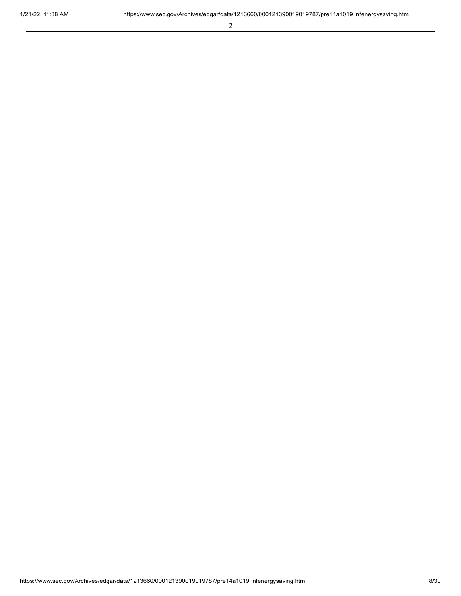2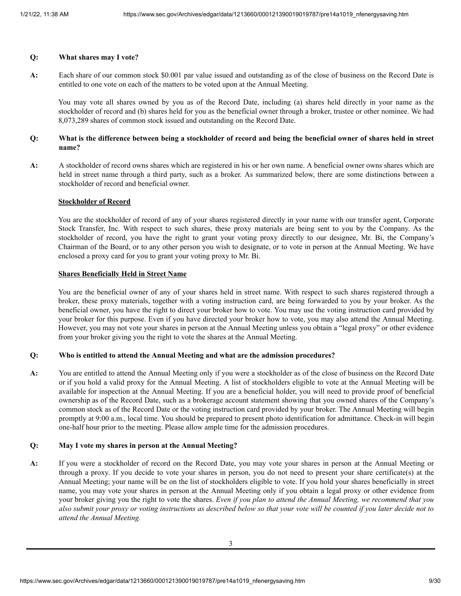### **Q: What shares may I vote?**

**A:** Each share of our common stock \$0.001 par value issued and outstanding as of the close of business on the Record Date is entitled to one vote on each of the matters to be voted upon at the Annual Meeting.

You may vote all shares owned by you as of the Record Date, including (a) shares held directly in your name as the stockholder of record and (b) shares held for you as the beneficial owner through a broker, trustee or other nominee. We had 8,073,289 shares of common stock issued and outstanding on the Record Date.

# Q: What is the difference between being a stockholder of record and being the beneficial owner of shares held in street **name?**

**A:** A stockholder of record owns shares which are registered in his or her own name. A beneficial owner owns shares which are held in street name through a third party, such as a broker. As summarized below, there are some distinctions between a stockholder of record and beneficial owner.

#### **Stockholder of Record**

You are the stockholder of record of any of your shares registered directly in your name with our transfer agent, Corporate Stock Transfer, Inc. With respect to such shares, these proxy materials are being sent to you by the Company. As the stockholder of record, you have the right to grant your voting proxy directly to our designee, Mr. Bi, the Company's Chairman of the Board, or to any other person you wish to designate, or to vote in person at the Annual Meeting. We have enclosed a proxy card for you to grant your voting proxy to Mr. Bi.

#### **Shares Beneficially Held in Street Name**

You are the beneficial owner of any of your shares held in street name. With respect to such shares registered through a broker, these proxy materials, together with a voting instruction card, are being forwarded to you by your broker. As the beneficial owner, you have the right to direct your broker how to vote. You may use the voting instruction card provided by your broker for this purpose. Even if you have directed your broker how to vote, you may also attend the Annual Meeting. However, you may not vote your shares in person at the Annual Meeting unless you obtain a "legal proxy" or other evidence from your broker giving you the right to vote the shares at the Annual Meeting.

# **Q: Who is entitled to attend the Annual Meeting and what are the admission procedures?**

**A:** You are entitled to attend the Annual Meeting only if you were a stockholder as of the close of business on the Record Date or if you hold a valid proxy for the Annual Meeting. A list of stockholders eligible to vote at the Annual Meeting will be available for inspection at the Annual Meeting. If you are a beneficial holder, you will need to provide proof of beneficial ownership as of the Record Date, such as a brokerage account statement showing that you owned shares of the Company's common stock as of the Record Date or the voting instruction card provided by your broker. The Annual Meeting will begin promptly at 9:00 a.m., local time. You should be prepared to present photo identification for admittance. Check-in will begin one-half hour prior to the meeting. Please allow ample time for the admission procedures.

# **Q: May I vote my shares in person at the Annual Meeting?**

**A:** If you were a stockholder of record on the Record Date, you may vote your shares in person at the Annual Meeting or through a proxy. If you decide to vote your shares in person, you do not need to present your share certificate(s) at the Annual Meeting; your name will be on the list of stockholders eligible to vote. If you hold your shares beneficially in street name, you may vote your shares in person at the Annual Meeting only if you obtain a legal proxy or other evidence from your broker giving you the right to vote the shares. *Even if you plan to attend the Annual Meeting, we recommend that you* also submit your proxy or voting instructions as described below so that your vote will be counted if you later decide not to *attend the Annual Meeting.*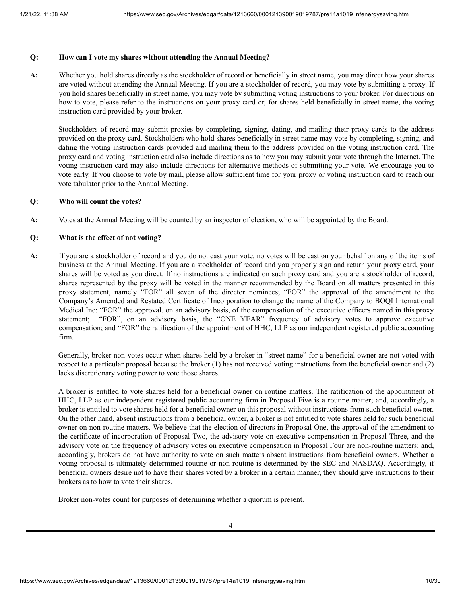# **Q: How can I vote my shares without attending the Annual Meeting?**

**A:** Whether you hold shares directly as the stockholder of record or beneficially in street name, you may direct how your shares are voted without attending the Annual Meeting. If you are a stockholder of record, you may vote by submitting a proxy. If you hold shares beneficially in street name, you may vote by submitting voting instructions to your broker. For directions on how to vote, please refer to the instructions on your proxy card or, for shares held beneficially in street name, the voting instruction card provided by your broker.

Stockholders of record may submit proxies by completing, signing, dating, and mailing their proxy cards to the address provided on the proxy card. Stockholders who hold shares beneficially in street name may vote by completing, signing, and dating the voting instruction cards provided and mailing them to the address provided on the voting instruction card. The proxy card and voting instruction card also include directions as to how you may submit your vote through the Internet. The voting instruction card may also include directions for alternative methods of submitting your vote. We encourage you to vote early. If you choose to vote by mail, please allow sufficient time for your proxy or voting instruction card to reach our vote tabulator prior to the Annual Meeting.

#### **Q: Who will count the votes?**

**A:** Votes at the Annual Meeting will be counted by an inspector of election, who will be appointed by the Board.

# **Q: What is the effect of not voting?**

**A:** If you are a stockholder of record and you do not cast your vote, no votes will be cast on your behalf on any of the items of business at the Annual Meeting. If you are a stockholder of record and you properly sign and return your proxy card, your shares will be voted as you direct. If no instructions are indicated on such proxy card and you are a stockholder of record, shares represented by the proxy will be voted in the manner recommended by the Board on all matters presented in this proxy statement, namely "FOR" all seven of the director nominees; "FOR" the approval of the amendment to the Company's Amended and Restated Certificate of Incorporation to change the name of the Company to BOQI International Medical Inc; "FOR" the approval, on an advisory basis, of the compensation of the executive officers named in this proxy statement; "FOR", on an advisory basis, the "ONE YEAR" frequency of advisory votes to approve executive compensation; and "FOR" the ratification of the appointment of HHC, LLP as our independent registered public accounting firm.

Generally, broker non-votes occur when shares held by a broker in "street name" for a beneficial owner are not voted with respect to a particular proposal because the broker (1) has not received voting instructions from the beneficial owner and (2) lacks discretionary voting power to vote those shares.

A broker is entitled to vote shares held for a beneficial owner on routine matters. The ratification of the appointment of HHC, LLP as our independent registered public accounting firm in Proposal Five is a routine matter; and, accordingly, a broker is entitled to vote shares held for a beneficial owner on this proposal without instructions from such beneficial owner. On the other hand, absent instructions from a beneficial owner, a broker is not entitled to vote shares held for such beneficial owner on non-routine matters. We believe that the election of directors in Proposal One, the approval of the amendment to the certificate of incorporation of Proposal Two, the advisory vote on executive compensation in Proposal Three, and the advisory vote on the frequency of advisory votes on executive compensation in Proposal Four are non-routine matters; and, accordingly, brokers do not have authority to vote on such matters absent instructions from beneficial owners. Whether a voting proposal is ultimately determined routine or non-routine is determined by the SEC and NASDAQ. Accordingly, if beneficial owners desire not to have their shares voted by a broker in a certain manner, they should give instructions to their brokers as to how to vote their shares.

Broker non-votes count for purposes of determining whether a quorum is present.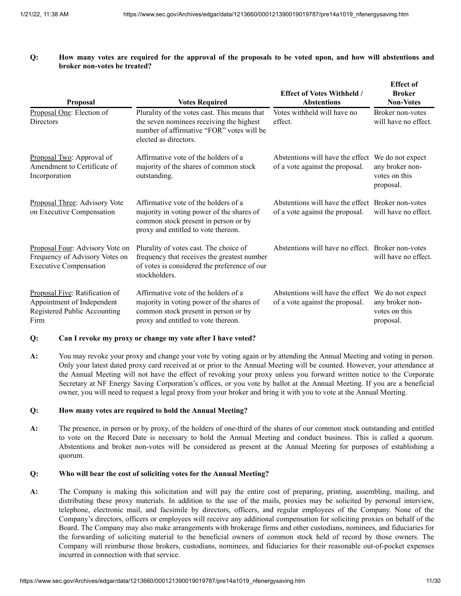Q: How many votes are required for the approval of the proposals to be voted upon, and how will abstentions and **broker non-votes be treated?**

|                                                                                                      |                                                                                                                                                                  |                                                                                      | <b>Effect</b> of                              |
|------------------------------------------------------------------------------------------------------|------------------------------------------------------------------------------------------------------------------------------------------------------------------|--------------------------------------------------------------------------------------|-----------------------------------------------|
|                                                                                                      |                                                                                                                                                                  | <b>Effect of Votes Withheld /</b>                                                    | <b>Broker</b>                                 |
| Proposal                                                                                             | <b>Votes Required</b><br><b>Abstentions</b>                                                                                                                      |                                                                                      | <b>Non-Votes</b>                              |
| Proposal One: Election of<br><b>Directors</b>                                                        | Plurality of the votes cast. This means that<br>the seven nominees receiving the highest<br>number of affirmative "FOR" votes will be<br>elected as directors.   | Votes withheld will have no<br>effect.                                               | Broker non-votes<br>will have no effect.      |
| Proposal Two: Approval of<br>Amendment to Certificate of<br>Incorporation                            | Affirmative vote of the holders of a<br>majority of the shares of common stock<br>outstanding.                                                                   | Abstentions will have the effect We do not expect<br>of a vote against the proposal. | any broker non-<br>votes on this<br>proposal. |
| Proposal Three: Advisory Vote<br>on Executive Compensation                                           | Affirmative vote of the holders of a<br>majority in voting power of the shares of<br>common stock present in person or by<br>proxy and entitled to vote thereon. | Abstentions will have the effect Broker non-votes<br>of a vote against the proposal. | will have no effect.                          |
| Proposal Four: Advisory Vote on<br>Frequency of Advisory Votes on<br><b>Executive Compensation</b>   | Plurality of votes cast. The choice of<br>frequency that receives the greatest number<br>of votes is considered the preference of our<br>stockholders.           | Abstentions will have no effect. Broker non-votes                                    | will have no effect.                          |
| Proposal Five: Ratification of<br>Appointment of Independent<br>Registered Public Accounting<br>Firm | Affirmative vote of the holders of a<br>majority in voting power of the shares of<br>common stock present in person or by<br>proxy and entitled to vote thereon. | Abstentions will have the effect We do not expect<br>of a vote against the proposal. | any broker non-<br>votes on this<br>proposal. |

# **Q: Can I revoke my proxy or change my vote after I have voted?**

**A:** You may revoke your proxy and change your vote by voting again or by attending the Annual Meeting and voting in person. Only your latest dated proxy card received at or prior to the Annual Meeting will be counted. However, your attendance at the Annual Meeting will not have the effect of revoking your proxy unless you forward written notice to the Corporate Secretary at NF Energy Saving Corporation's offices, or you vote by ballot at the Annual Meeting. If you are a beneficial owner, you will need to request a legal proxy from your broker and bring it with you to vote at the Annual Meeting.

## **Q: How many votes are required to hold the Annual Meeting?**

**A:** The presence, in person or by proxy, of the holders of one-third of the shares of our common stock outstanding and entitled to vote on the Record Date is necessary to hold the Annual Meeting and conduct business. This is called a quorum. Abstentions and broker non-votes will be considered as present at the Annual Meeting for purposes of establishing a quorum.

# **Q: Who will bear the cost of soliciting votes for the Annual Meeting?**

**A:** The Company is making this solicitation and will pay the entire cost of preparing, printing, assembling, mailing, and distributing these proxy materials. In addition to the use of the mails, proxies may be solicited by personal interview, telephone, electronic mail, and facsimile by directors, officers, and regular employees of the Company. None of the Company's directors, officers or employees will receive any additional compensation for soliciting proxies on behalf of the Board. The Company may also make arrangements with brokerage firms and other custodians, nominees, and fiduciaries for the forwarding of soliciting material to the beneficial owners of common stock held of record by those owners. The Company will reimburse those brokers, custodians, nominees, and fiduciaries for their reasonable out-of-pocket expenses incurred in connection with that service.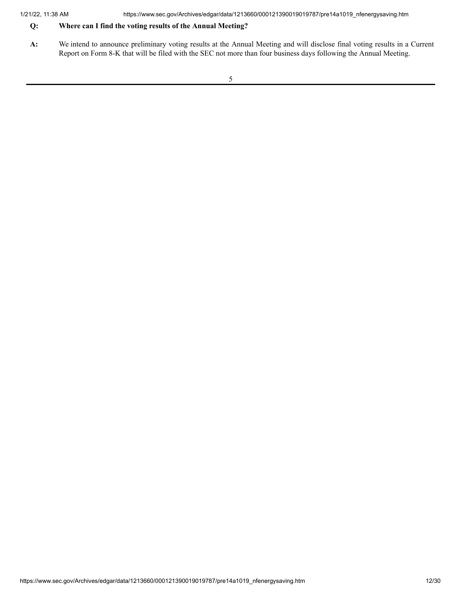1/21/22, 11:38 AM https://www.sec.gov/Archives/edgar/data/1213660/000121390019019787/pre14a1019\_nfenergysaving.htm

# **Q: Where can I find the voting results of the Annual Meeting?**

**A:** We intend to announce preliminary voting results at the Annual Meeting and will disclose final voting results in a Current Report on Form 8-K that will be filed with the SEC not more than four business days following the Annual Meeting.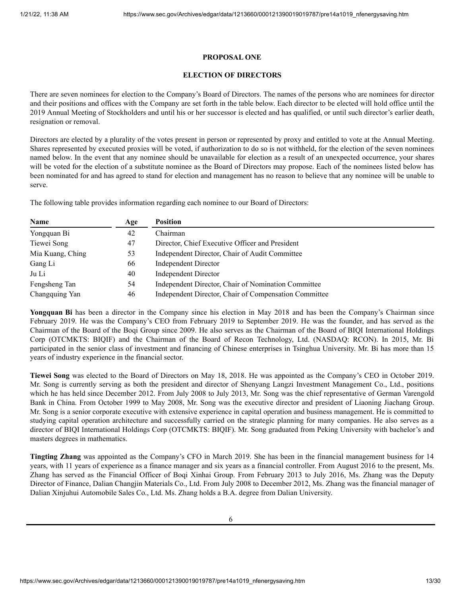#### **PROPOSAL ONE**

#### **ELECTION OF DIRECTORS**

<span id="page-12-0"></span>There are seven nominees for election to the Company's Board of Directors. The names of the persons who are nominees for director and their positions and offices with the Company are set forth in the table below. Each director to be elected will hold office until the 2019 Annual Meeting of Stockholders and until his or her successor is elected and has qualified, or until such director's earlier death, resignation or removal.

Directors are elected by a plurality of the votes present in person or represented by proxy and entitled to vote at the Annual Meeting. Shares represented by executed proxies will be voted, if authorization to do so is not withheld, for the election of the seven nominees named below. In the event that any nominee should be unavailable for election as a result of an unexpected occurrence, your shares will be voted for the election of a substitute nominee as the Board of Directors may propose. Each of the nominees listed below has been nominated for and has agreed to stand for election and management has no reason to believe that any nominee will be unable to serve.

The following table provides information regarding each nominee to our Board of Directors:

| Name             | Age | <b>Position</b>                                       |
|------------------|-----|-------------------------------------------------------|
| Yongquan Bi      | 42  | Chairman                                              |
| Tiewei Song      | 47  | Director, Chief Executive Officer and President       |
| Mia Kuang, Ching | 53  | Independent Director, Chair of Audit Committee        |
| Gang Li          | 66  | <b>Independent Director</b>                           |
| Ju Li            | 40  | Independent Director                                  |
| Fengsheng Tan    | 54  | Independent Director, Chair of Nomination Committee   |
| Changquing Yan   | 46  | Independent Director, Chair of Compensation Committee |

**Yongquan Bi** has been a director in the Company since his election in May 2018 and has been the Company's Chairman since February 2019. He was the Company's CEO from February 2019 to September 2019. He was the founder, and has served as the Chairman of the Board of the Boqi Group since 2009. He also serves as the Chairman of the Board of BIQI International Holdings Corp (OTCMKTS: BIQIF) and the Chairman of the Board of Recon Technology, Ltd. (NASDAQ: RCON). In 2015, Mr. Bi participated in the senior class of investment and financing of Chinese enterprises in Tsinghua University. Mr. Bi has more than 15 years of industry experience in the financial sector.

**Tiewei Song** was elected to the Board of Directors on May 18, 2018. He was appointed as the Company's CEO in October 2019. Mr. Song is currently serving as both the president and director of Shenyang Langzi Investment Management Co., Ltd., positions which he has held since December 2012. From July 2008 to July 2013, Mr. Song was the chief representative of German Varengold Bank in China. From October 1999 to May 2008, Mr. Song was the executive director and president of Liaoning Jiachang Group. Mr. Song is a senior corporate executive with extensive experience in capital operation and business management. He is committed to studying capital operation architecture and successfully carried on the strategic planning for many companies. He also serves as a director of BIQI International Holdings Corp (OTCMKTS: BIQIF). Mr. Song graduated from Peking University with bachelor's and masters degrees in mathematics.

**Tingting Zhang** was appointed as the Company's CFO in March 2019. She has been in the financial management business for 14 years, with 11 years of experience as a finance manager and six years as a financial controller. From August 2016 to the present, Ms. Zhang has served as the Financial Officer of Boqi Xinhai Group. From February 2013 to July 2016, Ms. Zhang was the Deputy Director of Finance, Dalian Changjin Materials Co., Ltd. From July 2008 to December 2012, Ms. Zhang was the financial manager of Dalian Xinjuhui Automobile Sales Co., Ltd. Ms. Zhang holds a B.A. degree from Dalian University.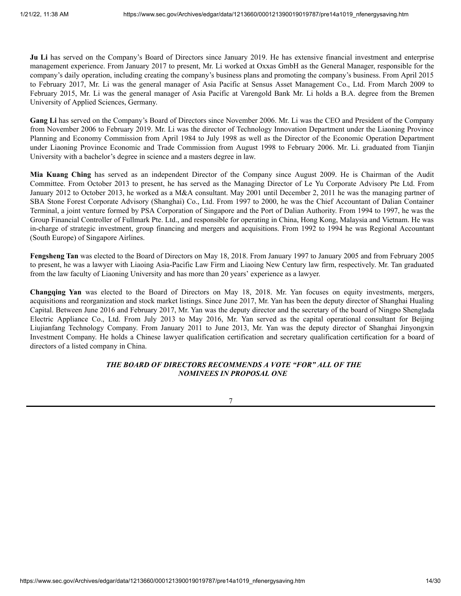**Ju Li** has served on the Company's Board of Directors since January 2019. He has extensive financial investment and enterprise management experience. From January 2017 to present, Mr. Li worked at Oxxas GmbH as the General Manager, responsible for the company's daily operation, including creating the company's business plans and promoting the company's business. From April 2015 to February 2017, Mr. Li was the general manager of Asia Pacific at Sensus Asset Management Co., Ltd. From March 2009 to February 2015, Mr. Li was the general manager of Asia Pacific at Varengold Bank Mr. Li holds a B.A. degree from the Bremen University of Applied Sciences, Germany.

**Gang Li** has served on the Company's Board of Directors since November 2006. Mr. Li was the CEO and President of the Company from November 2006 to February 2019. Mr. Li was the director of Technology Innovation Department under the Liaoning Province Planning and Economy Commission from April 1984 to July 1998 as well as the Director of the Economic Operation Department under Liaoning Province Economic and Trade Commission from August 1998 to February 2006. Mr. Li. graduated from Tianjin University with a bachelor's degree in science and a masters degree in law.

**Mia Kuang Ching** has served as an independent Director of the Company since August 2009. He is Chairman of the Audit Committee. From October 2013 to present, he has served as the Managing Director of Le Yu Corporate Advisory Pte Ltd. From January 2012 to October 2013, he worked as a M&A consultant. May 2001 until December 2, 2011 he was the managing partner of SBA Stone Forest Corporate Advisory (Shanghai) Co., Ltd. From 1997 to 2000, he was the Chief Accountant of Dalian Container Terminal, a joint venture formed by PSA Corporation of Singapore and the Port of Dalian Authority. From 1994 to 1997, he was the Group Financial Controller of Fullmark Pte. Ltd., and responsible for operating in China, Hong Kong, Malaysia and Vietnam. He was in-charge of strategic investment, group financing and mergers and acquisitions. From 1992 to 1994 he was Regional Accountant (South Europe) of Singapore Airlines.

**Fengsheng Tan** was elected to the Board of Directors on May 18, 2018. From January 1997 to January 2005 and from February 2005 to present, he was a lawyer with Liaoing Asia-Pacific Law Firm and Liaoing New Century law firm, respectively. Mr. Tan graduated from the law faculty of Liaoning University and has more than 20 years' experience as a lawyer.

**Changqing Yan** was elected to the Board of Directors on May 18, 2018. Mr. Yan focuses on equity investments, mergers, acquisitions and reorganization and stock market listings. Since June 2017, Mr. Yan has been the deputy director of Shanghai Hualing Capital. Between June 2016 and February 2017, Mr. Yan was the deputy director and the secretary of the board of Ningpo Shenglada Electric Appliance Co., Ltd. From July 2013 to May 2016, Mr. Yan served as the capital operational consultant for Beijing Liujianfang Technology Company. From January 2011 to June 2013, Mr. Yan was the deputy director of Shanghai Jinyongxin Investment Company. He holds a Chinese lawyer qualification certification and secretary qualification certification for a board of directors of a listed company in China.

# *THE BOARD OF DIRECTORS RECOMMENDS A VOTE "FOR" ALL OF THE NOMINEES IN PROPOSAL ONE*

7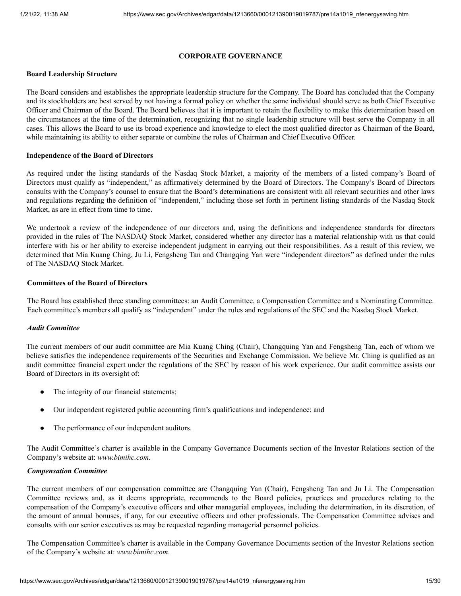# **CORPORATE GOVERNANCE**

# <span id="page-14-0"></span>**Board Leadership Structure**

The Board considers and establishes the appropriate leadership structure for the Company. The Board has concluded that the Company and its stockholders are best served by not having a formal policy on whether the same individual should serve as both Chief Executive Officer and Chairman of the Board. The Board believes that it is important to retain the flexibility to make this determination based on the circumstances at the time of the determination, recognizing that no single leadership structure will best serve the Company in all cases. This allows the Board to use its broad experience and knowledge to elect the most qualified director as Chairman of the Board, while maintaining its ability to either separate or combine the roles of Chairman and Chief Executive Officer.

# **Independence of the Board of Directors**

As required under the listing standards of the Nasdaq Stock Market, a majority of the members of a listed company's Board of Directors must qualify as "independent," as affirmatively determined by the Board of Directors. The Company's Board of Directors consults with the Company's counsel to ensure that the Board's determinations are consistent with all relevant securities and other laws and regulations regarding the definition of "independent," including those set forth in pertinent listing standards of the Nasdaq Stock Market, as are in effect from time to time.

We undertook a review of the independence of our directors and, using the definitions and independence standards for directors provided in the rules of The NASDAQ Stock Market, considered whether any director has a material relationship with us that could interfere with his or her ability to exercise independent judgment in carrying out their responsibilities. As a result of this review, we determined that Mia Kuang Ching, Ju Li, Fengsheng Tan and Changqing Yan were "independent directors" as defined under the rules of The NASDAQ Stock Market.

# **Committees of the Board of Directors**

The Board has established three standing committees: an Audit Committee, a Compensation Committee and a Nominating Committee. Each committee's members all qualify as "independent" under the rules and regulations of the SEC and the Nasdaq Stock Market.

# *Audit Committee*

The current members of our audit committee are Mia Kuang Ching (Chair), Changquing Yan and Fengsheng Tan, each of whom we believe satisfies the independence requirements of the Securities and Exchange Commission. We believe Mr. Ching is qualified as an audit committee financial expert under the regulations of the SEC by reason of his work experience. Our audit committee assists our Board of Directors in its oversight of:

- The integrity of our financial statements;
- Our independent registered public accounting firm's qualifications and independence; and
- The performance of our independent auditors.

The Audit Committee's charter is available in the Company Governance Documents section of the Investor Relations section of the Company's website at: *www.bimihc.com*.

# *Compensation Committee*

The current members of our compensation committee are Changquing Yan (Chair), Fengsheng Tan and Ju Li. The Compensation Committee reviews and, as it deems appropriate, recommends to the Board policies, practices and procedures relating to the compensation of the Company's executive officers and other managerial employees, including the determination, in its discretion, of the amount of annual bonuses, if any, for our executive officers and other professionals. The Compensation Committee advises and consults with our senior executives as may be requested regarding managerial personnel policies.

The Compensation Committee's charter is available in the Company Governance Documents section of the Investor Relations section of the Company's website at: *www.bimihc.com*.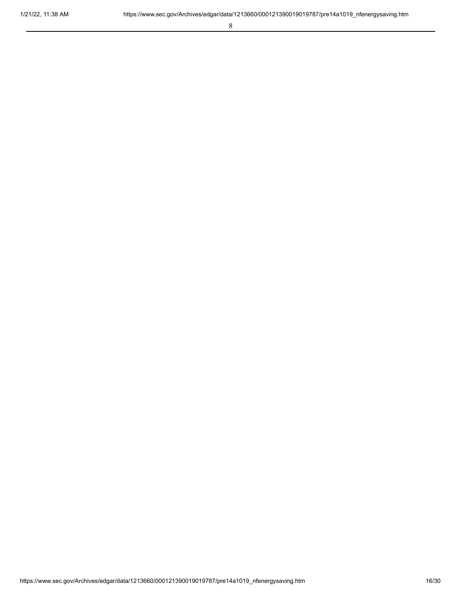8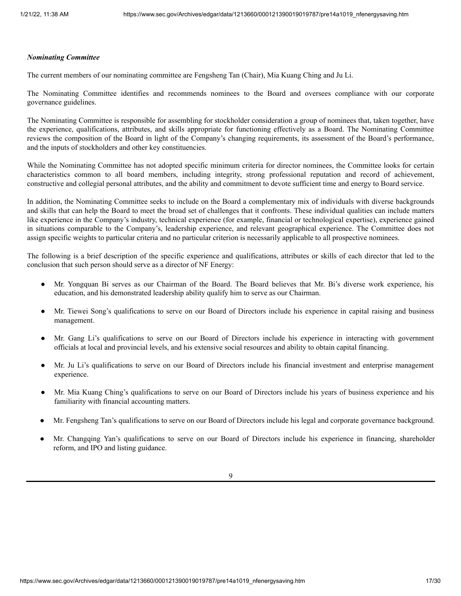#### *Nominating Committee*

The current members of our nominating committee are Fengsheng Tan (Chair), Mia Kuang Ching and Ju Li.

The Nominating Committee identifies and recommends nominees to the Board and oversees compliance with our corporate governance guidelines.

The Nominating Committee is responsible for assembling for stockholder consideration a group of nominees that, taken together, have the experience, qualifications, attributes, and skills appropriate for functioning effectively as a Board. The Nominating Committee reviews the composition of the Board in light of the Company's changing requirements, its assessment of the Board's performance, and the inputs of stockholders and other key constituencies.

While the Nominating Committee has not adopted specific minimum criteria for director nominees, the Committee looks for certain characteristics common to all board members, including integrity, strong professional reputation and record of achievement, constructive and collegial personal attributes, and the ability and commitment to devote sufficient time and energy to Board service.

In addition, the Nominating Committee seeks to include on the Board a complementary mix of individuals with diverse backgrounds and skills that can help the Board to meet the broad set of challenges that it confronts. These individual qualities can include matters like experience in the Company's industry, technical experience (for example, financial or technological expertise), experience gained in situations comparable to the Company's, leadership experience, and relevant geographical experience. The Committee does not assign specific weights to particular criteria and no particular criterion is necessarily applicable to all prospective nominees.

The following is a brief description of the specific experience and qualifications, attributes or skills of each director that led to the conclusion that such person should serve as a director of NF Energy:

- Mr. Yongquan Bi serves as our Chairman of the Board. The Board believes that Mr. Bi's diverse work experience, his education, and his demonstrated leadership ability qualify him to serve as our Chairman.
- Mr. Tiewei Song's qualifications to serve on our Board of Directors include his experience in capital raising and business management.
- Mr. Gang Li's qualifications to serve on our Board of Directors include his experience in interacting with government officials at local and provincial levels, and his extensive social resources and ability to obtain capital financing.
- Mr. Ju Li's qualifications to serve on our Board of Directors include his financial investment and enterprise management experience.
- Mr. Mia Kuang Ching's qualifications to serve on our Board of Directors include his years of business experience and his familiarity with financial accounting matters.
- Mr. Fengsheng Tan's qualifications to serve on our Board of Directors include his legal and corporate governance background.
- Mr. Changqing Yan's qualifications to serve on our Board of Directors include his experience in financing, shareholder reform, and IPO and listing guidance.

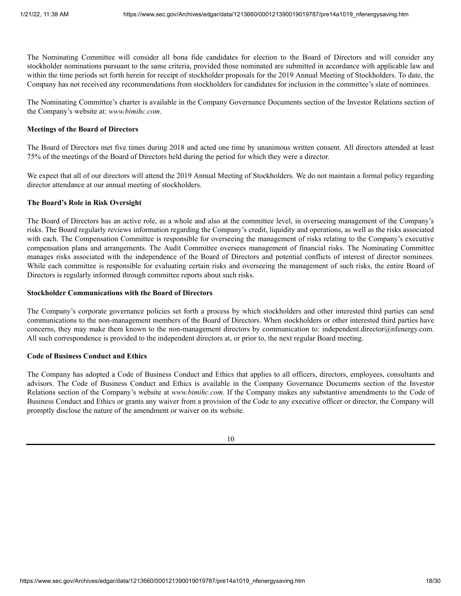The Nominating Committee will consider all bona fide candidates for election to the Board of Directors and will consider any stockholder nominations pursuant to the same criteria, provided those nominated are submitted in accordance with applicable law and within the time periods set forth herein for receipt of stockholder proposals for the 2019 Annual Meeting of Stockholders. To date, the Company has not received any recommendations from stockholders for candidates for inclusion in the committee's slate of nominees.

The Nominating Committee's charter is available in the Company Governance Documents section of the Investor Relations section of the Company's website at: *www.bimihc.com*.

# **Meetings of the Board of Directors**

The Board of Directors met five times during 2018 and acted one time by unanimous written consent. All directors attended at least 75% of the meetings of the Board of Directors held during the period for which they were a director.

We expect that all of our directors will attend the 2019 Annual Meeting of Stockholders. We do not maintain a formal policy regarding director attendance at our annual meeting of stockholders.

# **The Board's Role in Risk Oversight**

The Board of Directors has an active role, as a whole and also at the committee level, in overseeing management of the Company's risks. The Board regularly reviews information regarding the Company's credit, liquidity and operations, as well as the risks associated with each. The Compensation Committee is responsible for overseeing the management of risks relating to the Company's executive compensation plans and arrangements. The Audit Committee oversees management of financial risks. The Nominating Committee manages risks associated with the independence of the Board of Directors and potential conflicts of interest of director nominees. While each committee is responsible for evaluating certain risks and overseeing the management of such risks, the entire Board of Directors is regularly informed through committee reports about such risks.

# **Stockholder Communications with the Board of Directors**

The Company's corporate governance policies set forth a process by which stockholders and other interested third parties can send communications to the non-management members of the Board of Directors. When stockholders or other interested third parties have concerns, they may make them known to the non-management directors by communication to: independent.director@nfenergy.com. All such correspondence is provided to the independent directors at, or prior to, the next regular Board meeting.

# **Code of Business Conduct and Ethics**

The Company has adopted a Code of Business Conduct and Ethics that applies to all officers, directors, employees, consultants and advisors. The Code of Business Conduct and Ethics is available in the Company Governance Documents section of the Investor Relations section of the Company's website at *www.bimihc.com*. If the Company makes any substantive amendments to the Code of Business Conduct and Ethics or grants any waiver from a provision of the Code to any executive officer or director, the Company will promptly disclose the nature of the amendment or waiver on its website.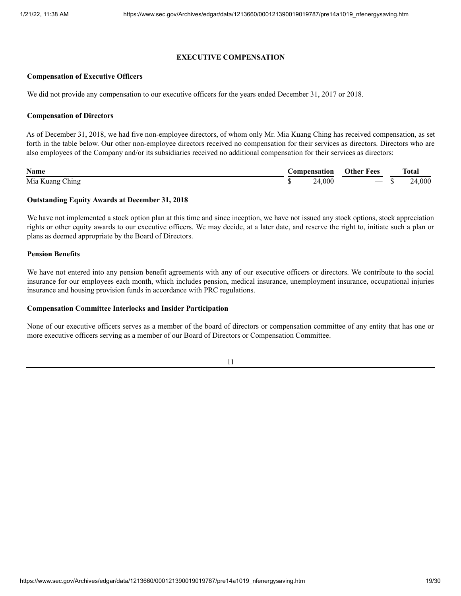# **EXECUTIVE COMPENSATION**

#### <span id="page-18-0"></span>**Compensation of Executive Officers**

We did not provide any compensation to our executive officers for the years ended December 31, 2017 or 2018.

## **Compensation of Directors**

As of December 31, 2018, we had five non-employee directors, of whom only Mr. Mia Kuang Ching has received compensation, as set forth in the table below. Our other non-employee directors received no compensation for their services as directors. Directors who are also employees of the Company and/or its subsidiaries received no additional compensation for their services as directors:

| <b>Name</b>     | <b>Compensation</b> | <b>Other Fees</b> | Total      |
|-----------------|---------------------|-------------------|------------|
| Mia Kuang Ching | 24,000              |                   | .000<br>74 |

#### **Outstanding Equity Awards at December 31, 2018**

We have not implemented a stock option plan at this time and since inception, we have not issued any stock options, stock appreciation rights or other equity awards to our executive officers. We may decide, at a later date, and reserve the right to, initiate such a plan or plans as deemed appropriate by the Board of Directors.

#### **Pension Benefits**

We have not entered into any pension benefit agreements with any of our executive officers or directors. We contribute to the social insurance for our employees each month, which includes pension, medical insurance, unemployment insurance, occupational injuries insurance and housing provision funds in accordance with PRC regulations.

# **Compensation Committee Interlocks and Insider Participation**

None of our executive officers serves as a member of the board of directors or compensation committee of any entity that has one or more executive officers serving as a member of our Board of Directors or Compensation Committee.

11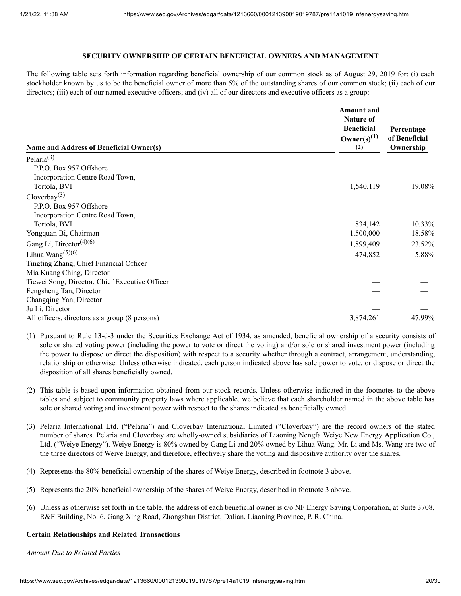# **SECURITY OWNERSHIP OF CERTAIN BENEFICIAL OWNERS AND MANAGEMENT**

<span id="page-19-0"></span>The following table sets forth information regarding beneficial ownership of our common stock as of August 29, 2019 for: (i) each stockholder known by us to be the beneficial owner of more than 5% of the outstanding shares of our common stock; (ii) each of our directors; (iii) each of our named executive officers; and (iv) all of our directors and executive officers as a group:

|                                                | <b>Amount</b> and<br><b>Nature of</b><br><b>Beneficial</b><br>Owner(s) <sup>(1)</sup> | Percentage<br>of Beneficial |
|------------------------------------------------|---------------------------------------------------------------------------------------|-----------------------------|
| Name and Address of Beneficial Owner(s)        | (2)                                                                                   | Ownership                   |
| Pelaria <sup>(3)</sup>                         |                                                                                       |                             |
| P.P.O. Box 957 Offshore                        |                                                                                       |                             |
| Incorporation Centre Road Town,                |                                                                                       |                             |
| Tortola, BVI                                   | 1,540,119                                                                             | 19.08%                      |
| Cloverbay <sup>(3)</sup>                       |                                                                                       |                             |
| P.P.O. Box 957 Offshore                        |                                                                                       |                             |
| Incorporation Centre Road Town,                |                                                                                       |                             |
| Tortola, BVI                                   | 834,142                                                                               | 10.33%                      |
| Yongquan Bi, Chairman                          | 1,500,000                                                                             | 18.58%                      |
| Gang Li, Director <sup>(4)(6)</sup>            | 1,899,409                                                                             | 23.52%                      |
| Lihua Wang $(5)(6)$                            | 474,852                                                                               | 5.88%                       |
| Tingting Zhang, Chief Financial Officer        |                                                                                       |                             |
| Mia Kuang Ching, Director                      |                                                                                       |                             |
| Tiewei Song, Director, Chief Executive Officer |                                                                                       |                             |
| Fengsheng Tan, Director                        |                                                                                       |                             |
| Changqing Yan, Director                        |                                                                                       |                             |
| Ju Li, Director                                |                                                                                       |                             |
| All officers, directors as a group (8 persons) | 3,874,261                                                                             | 47.99%                      |

- (1) Pursuant to Rule 13-d-3 under the Securities Exchange Act of 1934, as amended, beneficial ownership of a security consists of sole or shared voting power (including the power to vote or direct the voting) and/or sole or shared investment power (including the power to dispose or direct the disposition) with respect to a security whether through a contract, arrangement, understanding, relationship or otherwise. Unless otherwise indicated, each person indicated above has sole power to vote, or dispose or direct the disposition of all shares beneficially owned.
- (2) This table is based upon information obtained from our stock records. Unless otherwise indicated in the footnotes to the above tables and subject to community property laws where applicable, we believe that each shareholder named in the above table has sole or shared voting and investment power with respect to the shares indicated as beneficially owned.
- (3) Pelaria International Ltd. ("Pelaria") and Cloverbay International Limited ("Cloverbay") are the record owners of the stated number of shares. Pelaria and Cloverbay are wholly-owned subsidiaries of Liaoning Nengfa Weiye New Energy Application Co., Ltd. ("Weiye Energy"). Weiye Energy is 80% owned by Gang Li and 20% owned by Lihua Wang. Mr. Li and Ms. Wang are two of the three directors of Weiye Energy, and therefore, effectively share the voting and dispositive authority over the shares.
- (4) Represents the 80% beneficial ownership of the shares of Weiye Energy, described in footnote 3 above.
- (5) Represents the 20% beneficial ownership of the shares of Weiye Energy, described in footnote 3 above.
- (6) Unless as otherwise set forth in the table, the address of each beneficial owner is c/o NF Energy Saving Corporation, at Suite 3708, R&F Building, No. 6, Gang Xing Road, Zhongshan District, Dalian, Liaoning Province, P. R. China.

#### **Certain Relationships and Related Transactions**

#### *Amount Due to Related Parties*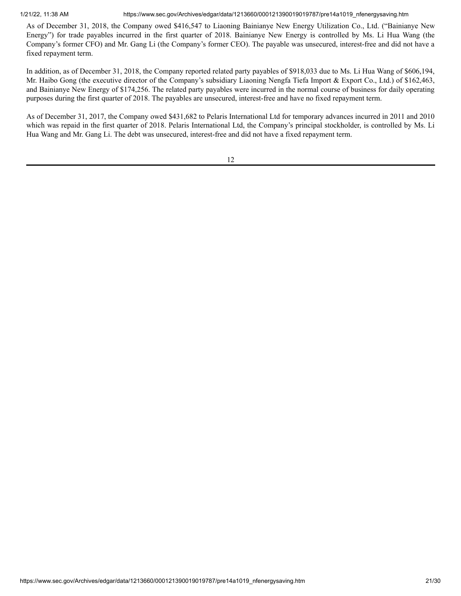# 1/21/22, 11:38 AM https://www.sec.gov/Archives/edgar/data/1213660/000121390019019787/pre14a1019\_nfenergysaving.htm

As of December 31, 2018, the Company owed \$416,547 to Liaoning Bainianye New Energy Utilization Co., Ltd. ("Bainianye New Energy") for trade payables incurred in the first quarter of 2018. Bainianye New Energy is controlled by Ms. Li Hua Wang (the Company's former CFO) and Mr. Gang Li (the Company's former CEO). The payable was unsecured, interest-free and did not have a fixed repayment term.

In addition, as of December 31, 2018, the Company reported related party payables of \$918,033 due to Ms. Li Hua Wang of \$606,194, Mr. Haibo Gong (the executive director of the Company's subsidiary Liaoning Nengfa Tiefa Import & Export Co., Ltd.) of \$162,463, and Bainianye New Energy of \$174,256. The related party payables were incurred in the normal course of business for daily operating purposes during the first quarter of 2018. The payables are unsecured, interest-free and have no fixed repayment term.

As of December 31, 2017, the Company owed \$431,682 to Pelaris International Ltd for temporary advances incurred in 2011 and 2010 which was repaid in the first quarter of 2018. Pelaris International Ltd, the Company's principal stockholder, is controlled by Ms. Li Hua Wang and Mr. Gang Li. The debt was unsecured, interest-free and did not have a fixed repayment term.

12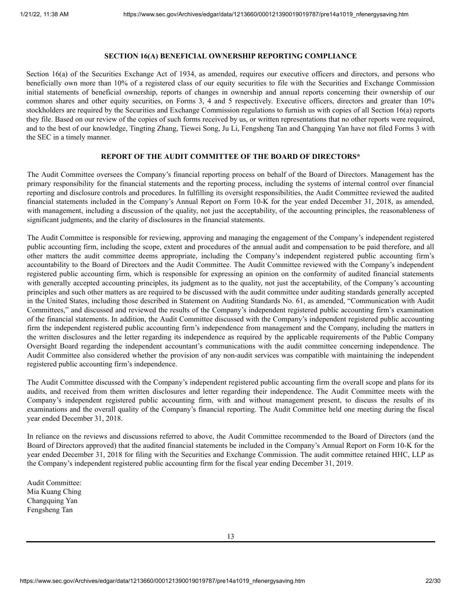# **SECTION 16(A) BENEFICIAL OWNERSHIP REPORTING COMPLIANCE**

<span id="page-21-0"></span>Section 16(a) of the Securities Exchange Act of 1934, as amended, requires our executive officers and directors, and persons who beneficially own more than 10% of a registered class of our equity securities to file with the Securities and Exchange Commission initial statements of beneficial ownership, reports of changes in ownership and annual reports concerning their ownership of our common shares and other equity securities, on Forms 3, 4 and 5 respectively. Executive officers, directors and greater than 10% stockholders are required by the Securities and Exchange Commission regulations to furnish us with copies of all Section 16(a) reports they file. Based on our review of the copies of such forms received by us, or written representations that no other reports were required, and to the best of our knowledge, Tingting Zhang, Tiewei Song, Ju Li, Fengsheng Tan and Changqing Yan have not filed Forms 3 with the SEC in a timely manner.

# **REPORT OF THE AUDIT COMMITTEE OF THE BOARD OF DIRECTORS\***

The Audit Committee oversees the Company's financial reporting process on behalf of the Board of Directors. Management has the primary responsibility for the financial statements and the reporting process, including the systems of internal control over financial reporting and disclosure controls and procedures. In fulfilling its oversight responsibilities, the Audit Committee reviewed the audited financial statements included in the Company's Annual Report on Form 10-K for the year ended December 31, 2018, as amended, with management, including a discussion of the quality, not just the acceptability, of the accounting principles, the reasonableness of significant judgments, and the clarity of disclosures in the financial statements.

The Audit Committee is responsible for reviewing, approving and managing the engagement of the Company's independent registered public accounting firm, including the scope, extent and procedures of the annual audit and compensation to be paid therefore, and all other matters the audit committee deems appropriate, including the Company's independent registered public accounting firm's accountability to the Board of Directors and the Audit Committee. The Audit Committee reviewed with the Company's independent registered public accounting firm, which is responsible for expressing an opinion on the conformity of audited financial statements with generally accepted accounting principles, its judgment as to the quality, not just the acceptability, of the Company's accounting principles and such other matters as are required to be discussed with the audit committee under auditing standards generally accepted in the United States, including those described in Statement on Auditing Standards No. 61, as amended, "Communication with Audit Committees," and discussed and reviewed the results of the Company's independent registered public accounting firm's examination of the financial statements. In addition, the Audit Committee discussed with the Company's independent registered public accounting firm the independent registered public accounting firm's independence from management and the Company, including the matters in the written disclosures and the letter regarding its independence as required by the applicable requirements of the Public Company Oversight Board regarding the independent accountant's communications with the audit committee concerning independence. The Audit Committee also considered whether the provision of any non-audit services was compatible with maintaining the independent registered public accounting firm's independence.

The Audit Committee discussed with the Company's independent registered public accounting firm the overall scope and plans for its audits, and received from them written disclosures and letter regarding their independence. The Audit Committee meets with the Company's independent registered public accounting firm, with and without management present, to discuss the results of its examinations and the overall quality of the Company's financial reporting. The Audit Committee held one meeting during the fiscal year ended December 31, 2018.

In reliance on the reviews and discussions referred to above, the Audit Committee recommended to the Board of Directors (and the Board of Directors approved) that the audited financial statements be included in the Company's Annual Report on Form 10-K for the year ended December 31, 2018 for filing with the Securities and Exchange Commission. The audit committee retained HHC, LLP as the Company's independent registered public accounting firm for the fiscal year ending December 31, 2019.

Audit Committee: Mia Kuang Ching Changquing Yan Fengsheng Tan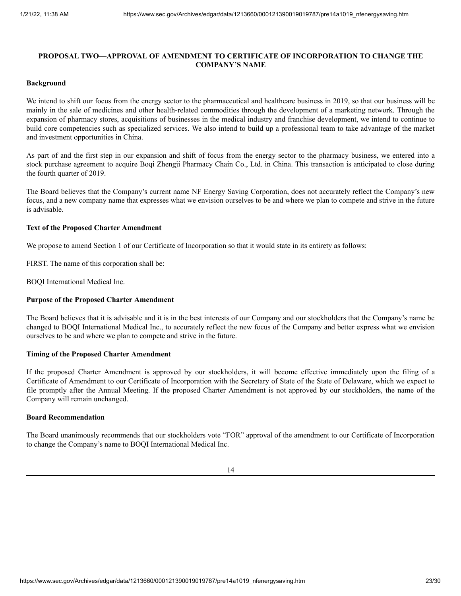# <span id="page-22-0"></span>**PROPOSAL TWO—APPROVAL OF AMENDMENT TO CERTIFICATE OF INCORPORATION TO CHANGE THE COMPANY'S NAME**

# **Background**

We intend to shift our focus from the energy sector to the pharmaceutical and healthcare business in 2019, so that our business will be mainly in the sale of medicines and other health-related commodities through the development of a marketing network. Through the expansion of pharmacy stores, acquisitions of businesses in the medical industry and franchise development, we intend to continue to build core competencies such as specialized services. We also intend to build up a professional team to take advantage of the market and investment opportunities in China.

As part of and the first step in our expansion and shift of focus from the energy sector to the pharmacy business, we entered into a stock purchase agreement to acquire Boqi Zhengji Pharmacy Chain Co., Ltd. in China. This transaction is anticipated to close during the fourth quarter of 2019.

The Board believes that the Company's current name NF Energy Saving Corporation, does not accurately reflect the Company's new focus, and a new company name that expresses what we envision ourselves to be and where we plan to compete and strive in the future is advisable.

# **Text of the Proposed Charter Amendment**

We propose to amend Section 1 of our Certificate of Incorporation so that it would state in its entirety as follows:

FIRST. The name of this corporation shall be:

BOQI International Medical Inc.

## **Purpose of the Proposed Charter Amendment**

The Board believes that it is advisable and it is in the best interests of our Company and our stockholders that the Company's name be changed to BOQI International Medical Inc., to accurately reflect the new focus of the Company and better express what we envision ourselves to be and where we plan to compete and strive in the future.

# **Timing of the Proposed Charter Amendment**

If the proposed Charter Amendment is approved by our stockholders, it will become effective immediately upon the filing of a Certificate of Amendment to our Certificate of Incorporation with the Secretary of State of the State of Delaware, which we expect to file promptly after the Annual Meeting. If the proposed Charter Amendment is not approved by our stockholders, the name of the Company will remain unchanged.

# **Board Recommendation**

The Board unanimously recommends that our stockholders vote "FOR" approval of the amendment to our Certificate of Incorporation to change the Company's name to BOQI International Medical Inc.

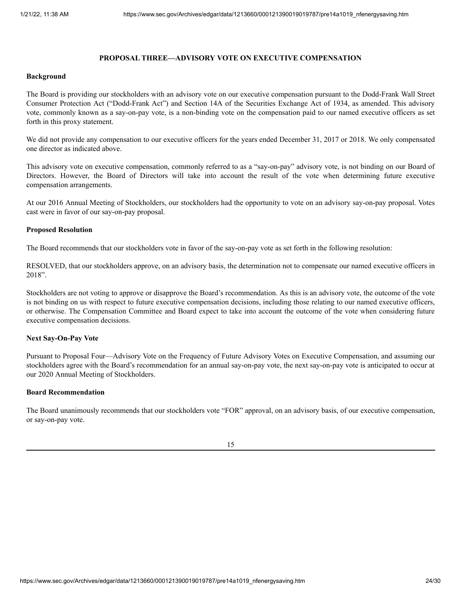# **PROPOSAL THREE—ADVISORY VOTE ON EXECUTIVE COMPENSATION**

## <span id="page-23-0"></span>**Background**

The Board is providing our stockholders with an advisory vote on our executive compensation pursuant to the Dodd-Frank Wall Street Consumer Protection Act ("Dodd-Frank Act") and Section 14A of the Securities Exchange Act of 1934, as amended. This advisory vote, commonly known as a say-on-pay vote, is a non-binding vote on the compensation paid to our named executive officers as set forth in this proxy statement.

We did not provide any compensation to our executive officers for the years ended December 31, 2017 or 2018. We only compensated one director as indicated above.

This advisory vote on executive compensation, commonly referred to as a "say-on-pay" advisory vote, is not binding on our Board of Directors. However, the Board of Directors will take into account the result of the vote when determining future executive compensation arrangements.

At our 2016 Annual Meeting of Stockholders, our stockholders had the opportunity to vote on an advisory say-on-pay proposal. Votes cast were in favor of our say-on-pay proposal.

# **Proposed Resolution**

The Board recommends that our stockholders vote in favor of the say-on-pay vote as set forth in the following resolution:

RESOLVED, that our stockholders approve, on an advisory basis, the determination not to compensate our named executive officers in 2018".

Stockholders are not voting to approve or disapprove the Board's recommendation. As this is an advisory vote, the outcome of the vote is not binding on us with respect to future executive compensation decisions, including those relating to our named executive officers, or otherwise. The Compensation Committee and Board expect to take into account the outcome of the vote when considering future executive compensation decisions.

# **Next Say-On-Pay Vote**

Pursuant to Proposal Four—Advisory Vote on the Frequency of Future Advisory Votes on Executive Compensation, and assuming our stockholders agree with the Board's recommendation for an annual say-on-pay vote, the next say-on-pay vote is anticipated to occur at our 2020 Annual Meeting of Stockholders.

# **Board Recommendation**

The Board unanimously recommends that our stockholders vote "FOR" approval, on an advisory basis, of our executive compensation, or say-on-pay vote.

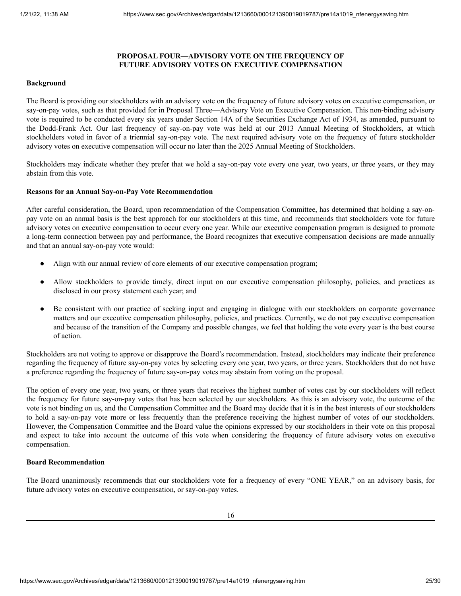# **PROPOSAL FOUR—ADVISORY VOTE ON THE FREQUENCY OF FUTURE ADVISORY VOTES ON EXECUTIVE COMPENSATION**

# <span id="page-24-0"></span>**Background**

The Board is providing our stockholders with an advisory vote on the frequency of future advisory votes on executive compensation, or say-on-pay votes, such as that provided for in Proposal Three—Advisory Vote on Executive Compensation. This non-binding advisory vote is required to be conducted every six years under Section 14A of the Securities Exchange Act of 1934, as amended, pursuant to the Dodd-Frank Act. Our last frequency of say-on-pay vote was held at our 2013 Annual Meeting of Stockholders, at which stockholders voted in favor of a triennial say-on-pay vote. The next required advisory vote on the frequency of future stockholder advisory votes on executive compensation will occur no later than the 2025 Annual Meeting of Stockholders.

Stockholders may indicate whether they prefer that we hold a say-on-pay vote every one year, two years, or three years, or they may abstain from this vote.

# **Reasons for an Annual Say-on-Pay Vote Recommendation**

After careful consideration, the Board, upon recommendation of the Compensation Committee, has determined that holding a say-onpay vote on an annual basis is the best approach for our stockholders at this time, and recommends that stockholders vote for future advisory votes on executive compensation to occur every one year. While our executive compensation program is designed to promote a long-term connection between pay and performance, the Board recognizes that executive compensation decisions are made annually and that an annual say-on-pay vote would:

- Align with our annual review of core elements of our executive compensation program;
- Allow stockholders to provide timely, direct input on our executive compensation philosophy, policies, and practices as disclosed in our proxy statement each year; and
- Be consistent with our practice of seeking input and engaging in dialogue with our stockholders on corporate governance matters and our executive compensation philosophy, policies, and practices. Currently, we do not pay executive compensation and because of the transition of the Company and possible changes, we feel that holding the vote every year is the best course of action.

Stockholders are not voting to approve or disapprove the Board's recommendation. Instead, stockholders may indicate their preference regarding the frequency of future say-on-pay votes by selecting every one year, two years, or three years. Stockholders that do not have a preference regarding the frequency of future say-on-pay votes may abstain from voting on the proposal.

The option of every one year, two years, or three years that receives the highest number of votes cast by our stockholders will reflect the frequency for future say-on-pay votes that has been selected by our stockholders. As this is an advisory vote, the outcome of the vote is not binding on us, and the Compensation Committee and the Board may decide that it is in the best interests of our stockholders to hold a say-on-pay vote more or less frequently than the preference receiving the highest number of votes of our stockholders. However, the Compensation Committee and the Board value the opinions expressed by our stockholders in their vote on this proposal and expect to take into account the outcome of this vote when considering the frequency of future advisory votes on executive compensation.

# **Board Recommendation**

The Board unanimously recommends that our stockholders vote for a frequency of every "ONE YEAR," on an advisory basis, for future advisory votes on executive compensation, or say-on-pay votes.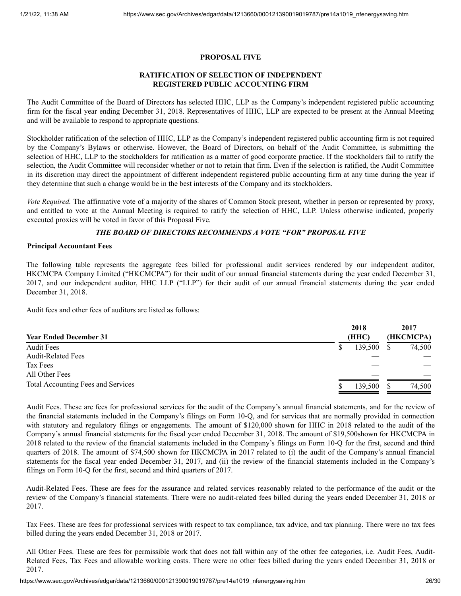# **PROPOSAL FIVE**

# **RATIFICATION OF SELECTION OF INDEPENDENT REGISTERED PUBLIC ACCOUNTING FIRM**

<span id="page-25-0"></span>The Audit Committee of the Board of Directors has selected HHC, LLP as the Company's independent registered public accounting firm for the fiscal year ending December 31, 2018. Representatives of HHC, LLP are expected to be present at the Annual Meeting and will be available to respond to appropriate questions.

Stockholder ratification of the selection of HHC, LLP as the Company's independent registered public accounting firm is not required by the Company's Bylaws or otherwise. However, the Board of Directors, on behalf of the Audit Committee, is submitting the selection of HHC, LLP to the stockholders for ratification as a matter of good corporate practice. If the stockholders fail to ratify the selection, the Audit Committee will reconsider whether or not to retain that firm. Even if the selection is ratified, the Audit Committee in its discretion may direct the appointment of different independent registered public accounting firm at any time during the year if they determine that such a change would be in the best interests of the Company and its stockholders.

*Vote Required.* The affirmative vote of a majority of the shares of Common Stock present, whether in person or represented by proxy, and entitled to vote at the Annual Meeting is required to ratify the selection of HHC, LLP. Unless otherwise indicated, properly executed proxies will be voted in favor of this Proposal Five.

# *THE BOARD OF DIRECTORS RECOMMENDS A VOTE "FOR" PROPOSAL FIVE*

# **Principal Accountant Fees**

The following table represents the aggregate fees billed for professional audit services rendered by our independent auditor, HKCMCPA Company Limited ("HKCMCPA") for their audit of our annual financial statements during the year ended December 31, 2017, and our independent auditor, HHC LLP ("LLP") for their audit of our annual financial statements during the year ended December 31, 2018.

Audit fees and other fees of auditors are listed as follows:

| <b>Year Ended December 31</b>      | 2018<br>(HHC) | 2017<br>(HKCMCPA) |
|------------------------------------|---------------|-------------------|
| <b>Audit Fees</b>                  | 139.500       | 74,500            |
| <b>Audit-Related Fees</b>          |               |                   |
| Tax Fees                           |               |                   |
| All Other Fees                     |               |                   |
| Total Accounting Fees and Services | 139.500       | 74,500            |

Audit Fees. These are fees for professional services for the audit of the Company's annual financial statements, and for the review of the financial statements included in the Company's filings on Form 10-Q, and for services that are normally provided in connection with statutory and regulatory filings or engagements. The amount of \$120,000 shown for HHC in 2018 related to the audit of the Company's annual financial statements for the fiscal year ended December 31, 2018. The amount of \$19,500shown for HKCMCPA in 2018 related to the review of the financial statements included in the Company's filings on Form 10-Q for the first, second and third quarters of 2018. The amount of \$74,500 shown for HKCMCPA in 2017 related to (i) the audit of the Company's annual financial statements for the fiscal year ended December 31, 2017, and (ii) the review of the financial statements included in the Company's filings on Form 10-Q for the first, second and third quarters of 2017.

Audit-Related Fees. These are fees for the assurance and related services reasonably related to the performance of the audit or the review of the Company's financial statements. There were no audit-related fees billed during the years ended December 31, 2018 or 2017.

Tax Fees. These are fees for professional services with respect to tax compliance, tax advice, and tax planning. There were no tax fees billed during the years ended December 31, 2018 or 2017.

All Other Fees. These are fees for permissible work that does not fall within any of the other fee categories, i.e. Audit Fees, Audit-Related Fees, Tax Fees and allowable working costs. There were no other fees billed during the years ended December 31, 2018 or 2017.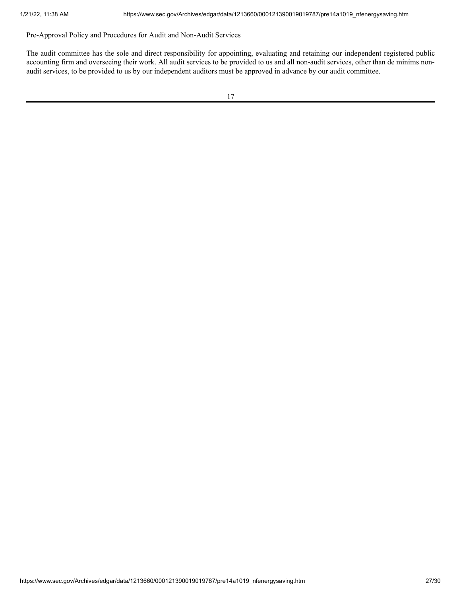Pre-Approval Policy and Procedures for Audit and Non-Audit Services

The audit committee has the sole and direct responsibility for appointing, evaluating and retaining our independent registered public accounting firm and overseeing their work. All audit services to be provided to us and all non-audit services, other than de minims nonaudit services, to be provided to us by our independent auditors must be approved in advance by our audit committee.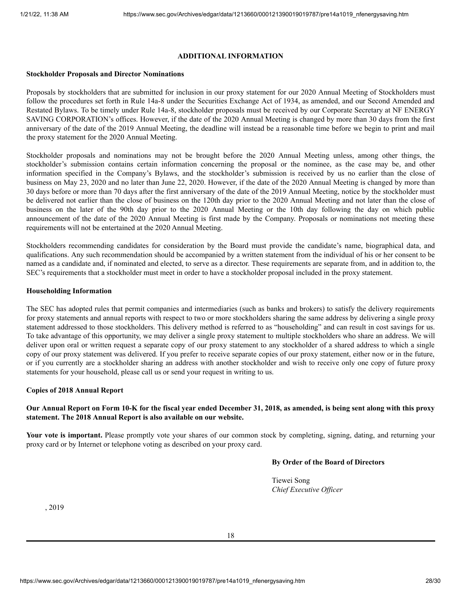#### **ADDITIONAL INFORMATION**

#### <span id="page-27-0"></span>**Stockholder Proposals and Director Nominations**

Proposals by stockholders that are submitted for inclusion in our proxy statement for our 2020 Annual Meeting of Stockholders must follow the procedures set forth in Rule 14a-8 under the Securities Exchange Act of 1934, as amended, and our Second Amended and Restated Bylaws. To be timely under Rule 14a-8, stockholder proposals must be received by our Corporate Secretary at NF ENERGY SAVING CORPORATION's offices. However, if the date of the 2020 Annual Meeting is changed by more than 30 days from the first anniversary of the date of the 2019 Annual Meeting, the deadline will instead be a reasonable time before we begin to print and mail the proxy statement for the 2020 Annual Meeting.

Stockholder proposals and nominations may not be brought before the 2020 Annual Meeting unless, among other things, the stockholder's submission contains certain information concerning the proposal or the nominee, as the case may be, and other information specified in the Company's Bylaws, and the stockholder's submission is received by us no earlier than the close of business on May 23, 2020 and no later than June 22, 2020. However, if the date of the 2020 Annual Meeting is changed by more than 30 days before or more than 70 days after the first anniversary of the date of the 2019 Annual Meeting, notice by the stockholder must be delivered not earlier than the close of business on the 120th day prior to the 2020 Annual Meeting and not later than the close of business on the later of the 90th day prior to the 2020 Annual Meeting or the 10th day following the day on which public announcement of the date of the 2020 Annual Meeting is first made by the Company. Proposals or nominations not meeting these requirements will not be entertained at the 2020 Annual Meeting.

Stockholders recommending candidates for consideration by the Board must provide the candidate's name, biographical data, and qualifications. Any such recommendation should be accompanied by a written statement from the individual of his or her consent to be named as a candidate and, if nominated and elected, to serve as a director. These requirements are separate from, and in addition to, the SEC's requirements that a stockholder must meet in order to have a stockholder proposal included in the proxy statement.

#### **Householding Information**

The SEC has adopted rules that permit companies and intermediaries (such as banks and brokers) to satisfy the delivery requirements for proxy statements and annual reports with respect to two or more stockholders sharing the same address by delivering a single proxy statement addressed to those stockholders. This delivery method is referred to as "householding" and can result in cost savings for us. To take advantage of this opportunity, we may deliver a single proxy statement to multiple stockholders who share an address. We will deliver upon oral or written request a separate copy of our proxy statement to any stockholder of a shared address to which a single copy of our proxy statement was delivered. If you prefer to receive separate copies of our proxy statement, either now or in the future, or if you currently are a stockholder sharing an address with another stockholder and wish to receive only one copy of future proxy statements for your household, please call us or send your request in writing to us.

#### **Copies of 2018 Annual Report**

# Our Annual Report on Form 10-K for the fiscal year ended December 31, 2018, as amended, is being sent along with this proxy **statement. The 2018 Annual Report is also available on our website.**

**Your vote is important.** Please promptly vote your shares of our common stock by completing, signing, dating, and returning your proxy card or by Internet or telephone voting as described on your proxy card.

#### **By Order of the Board of Directors**

Tiewei Song *Chief Executive Of icer*

, 2019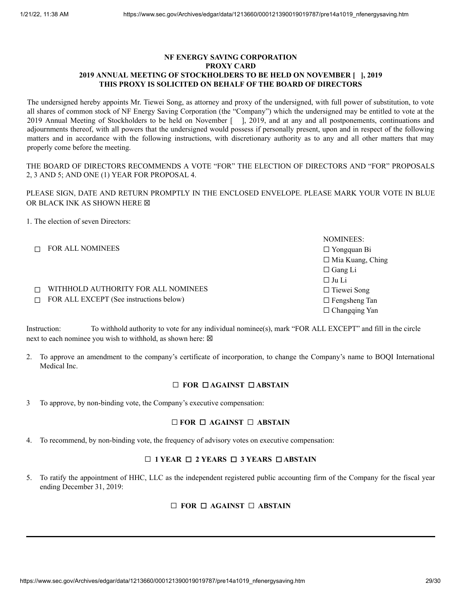# **NF ENERGY SAVING CORPORATION PROXY CARD 2019 ANNUAL MEETING OF STOCKHOLDERS TO BE HELD ON NOVEMBER [ ], 2019 THIS PROXY IS SOLICITED ON BEHALF OF THE BOARD OF DIRECTORS**

The undersigned hereby appoints Mr. Tiewei Song, as attorney and proxy of the undersigned, with full power of substitution, to vote all shares of common stock of NF Energy Saving Corporation (the "Company") which the undersigned may be entitled to vote at the 2019 Annual Meeting of Stockholders to be held on November [ ], 2019, and at any and all postponements, continuations and adjournments thereof, with all powers that the undersigned would possess if personally present, upon and in respect of the following matters and in accordance with the following instructions, with discretionary authority as to any and all other matters that may properly come before the meeting.

THE BOARD OF DIRECTORS RECOMMENDS A VOTE "FOR" THE ELECTION OF DIRECTORS AND "FOR" PROPOSALS 2, 3 AND 5; AND ONE (1) YEAR FOR PROPOSAL 4.

PLEASE SIGN, DATE AND RETURN PROMPTLY IN THE ENCLOSED ENVELOPE. PLEASE MARK YOUR VOTE IN BLUE OR BLACK INK AS SHOWN HERE  $box$ 

1. The election of seven Directors:

|        |                                         | <b>NOMINEES:</b>        |
|--------|-----------------------------------------|-------------------------|
| $\Box$ | FOR ALL NOMINEES                        | $\Box$ Yongquan Bi      |
|        |                                         | $\Box$ Mia Kuang, Ching |
|        |                                         | $\Box$ Gang Li          |
|        |                                         | $\Box$ Ju Li            |
|        | WITHHOLD AUTHORITY FOR ALL NOMINEES     | $\Box$ Tiewei Song      |
| $\Box$ | FOR ALL EXCEPT (See instructions below) | $\Box$ Fengsheng Tan    |
|        |                                         | $\Box$ Changqing Yan    |

Instruction: To withhold authority to vote for any individual nominee(s), mark "FOR ALL EXCEPT" and fill in the circle next to each nominee you wish to withhold, as shown here:  $\boxtimes$ 

2. To approve an amendment to the company's certificate of incorporation, to change the Company's name to BOQI International Medical Inc.

# ☐ **FOR** ☐ **AGAINST** ☐ **ABSTAIN**

3 To approve, by non-binding vote, the Company's executive compensation:

# ☐ **FOR** ☐ **AGAINST** ☐ **ABSTAIN**

4. To recommend, by non-binding vote, the frequency of advisory votes on executive compensation:

# ☐ **1 YEAR** ☐ **2 YEARS** ☐ **3 YEARS** ☐ **ABSTAIN**

5. To ratify the appointment of HHC, LLC as the independent registered public accounting firm of the Company for the fiscal year ending December 31, 2019:

# ☐ **FOR** ☐ **AGAINST** ☐ **ABSTAIN**